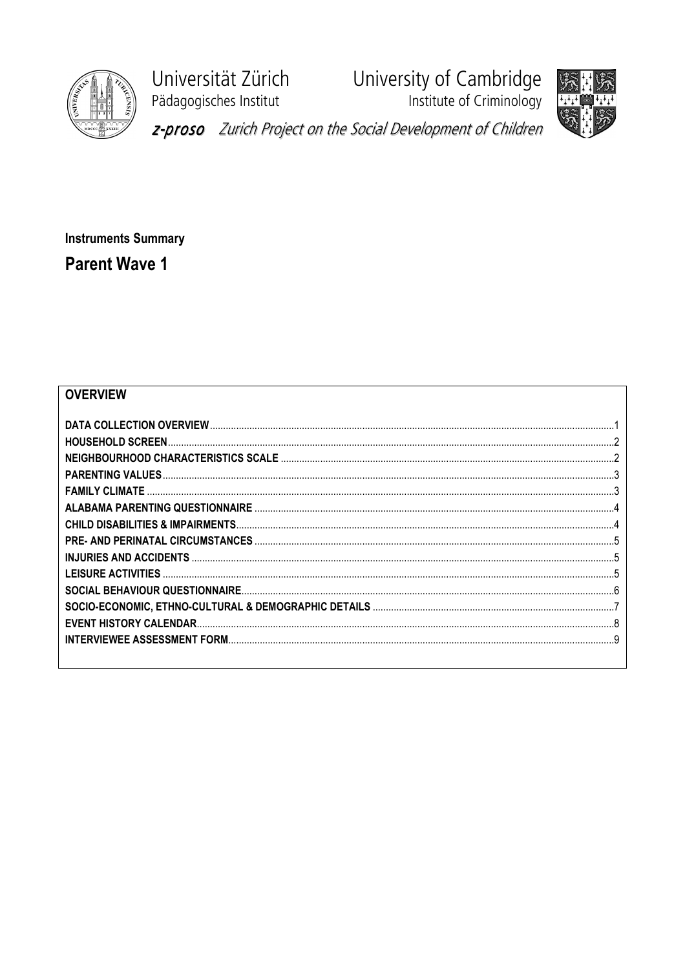

Universität Zürich Pädagogisches Institut

University of Cambridge<br>Institute of Criminology





z-proso Zurich Project on the Social Development of Children

**Instruments Summary Parent Wave 1** 

## **OVERVIEW**

| q |
|---|
|   |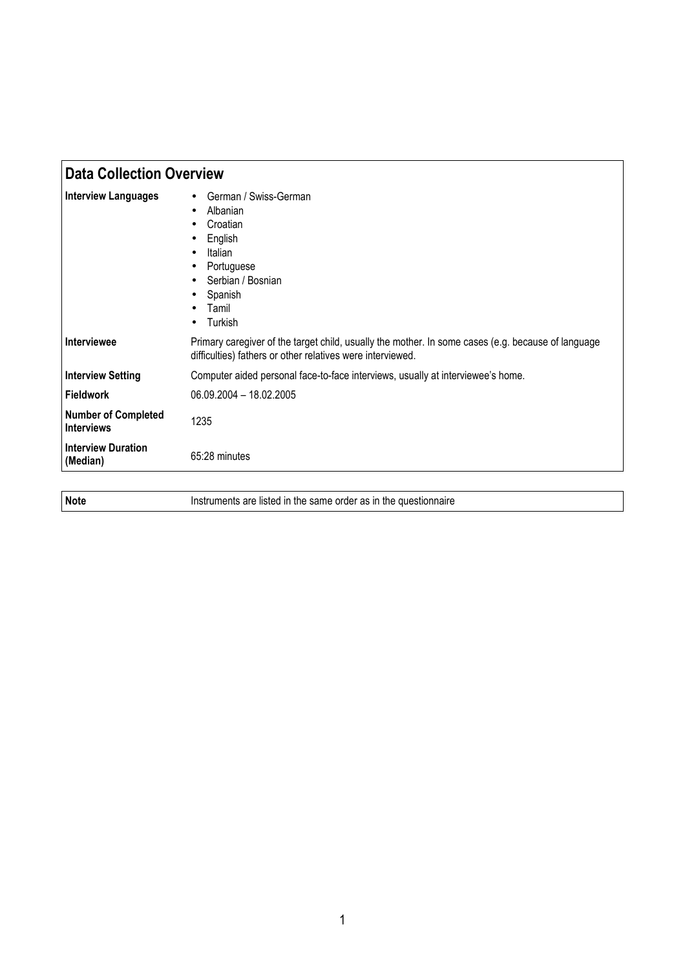|                                                 | <b>Data Collection Overview</b>                                                                                                                                  |  |
|-------------------------------------------------|------------------------------------------------------------------------------------------------------------------------------------------------------------------|--|
| <b>Interview Languages</b>                      | German / Swiss-German<br>Albanian<br>Croatian<br>English<br>Italian<br>Portuguese<br>Serbian / Bosnian<br>Spanish<br>Tamil<br>Turkish                            |  |
| Interviewee                                     | Primary caregiver of the target child, usually the mother. In some cases (e.g. because of language<br>difficulties) fathers or other relatives were interviewed. |  |
| <b>Interview Setting</b>                        | Computer aided personal face-to-face interviews, usually at interviewee's home.                                                                                  |  |
| <b>Fieldwork</b>                                | 06.09.2004 - 18.02.2005                                                                                                                                          |  |
| <b>Number of Completed</b><br><b>Interviews</b> | 1235                                                                                                                                                             |  |
| <b>Interview Duration</b><br>(Median)           | 65:28 minutes                                                                                                                                                    |  |
|                                                 |                                                                                                                                                                  |  |
| <b>Note</b>                                     | Instruments are listed in the same order as in the questionnaire                                                                                                 |  |

| <b>Note</b> | Instruments are listed in the same order as in the questionnaire |
|-------------|------------------------------------------------------------------|
|             |                                                                  |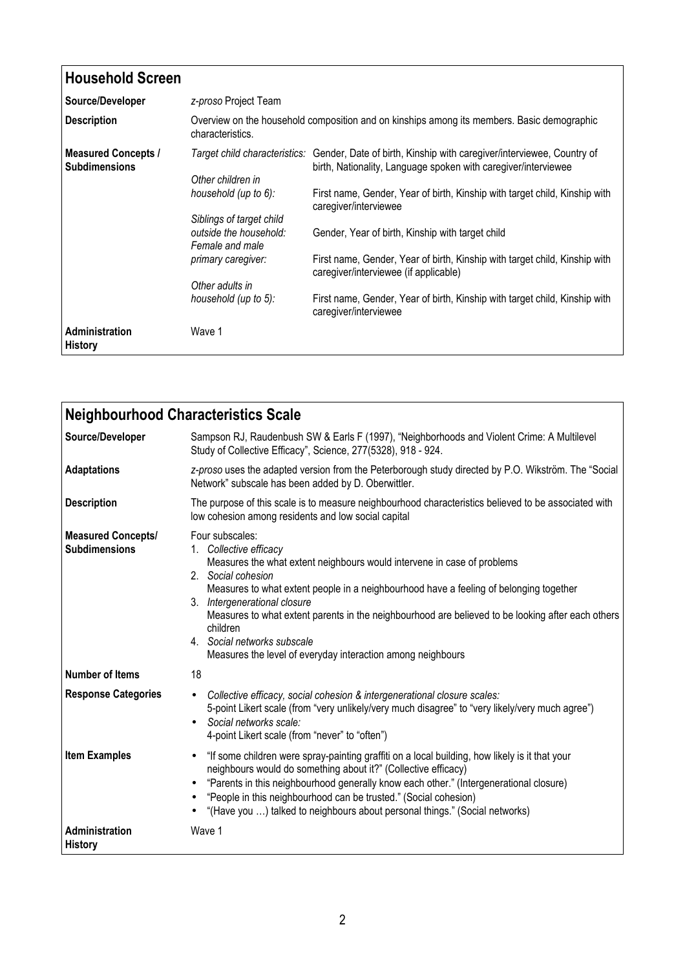| <b>Household Screen</b>                            |                                                                       |                                                                                                                                                                       |
|----------------------------------------------------|-----------------------------------------------------------------------|-----------------------------------------------------------------------------------------------------------------------------------------------------------------------|
| Source/Developer                                   | z-proso Project Team                                                  |                                                                                                                                                                       |
| <b>Description</b>                                 | characteristics.                                                      | Overview on the household composition and on kinships among its members. Basic demographic                                                                            |
| <b>Measured Concepts /</b><br><b>Subdimensions</b> | Other children in                                                     | Target child characteristics: Gender, Date of birth, Kinship with caregiver/interviewee, Country of<br>birth, Nationality, Language spoken with caregiver/interviewee |
|                                                    | household (up to 6):                                                  | First name, Gender, Year of birth, Kinship with target child, Kinship with<br>caregiver/interviewee                                                                   |
|                                                    | Siblings of target child<br>outside the household:<br>Female and male | Gender, Year of birth, Kinship with target child                                                                                                                      |
|                                                    | primary caregiver:                                                    | First name, Gender, Year of birth, Kinship with target child, Kinship with<br>caregiver/interviewee (if applicable)                                                   |
|                                                    | Other adults in                                                       |                                                                                                                                                                       |
|                                                    | household (up to 5):                                                  | First name, Gender, Year of birth, Kinship with target child, Kinship with<br>caregiver/interviewee                                                                   |
| Administration<br><b>History</b>                   | Wave 1                                                                |                                                                                                                                                                       |

| <b>Neighbourhood Characteristics Scale</b>        |                                                                                                                                                                                                                                                                                                                                                                                                                                                                                     |
|---------------------------------------------------|-------------------------------------------------------------------------------------------------------------------------------------------------------------------------------------------------------------------------------------------------------------------------------------------------------------------------------------------------------------------------------------------------------------------------------------------------------------------------------------|
| Source/Developer                                  | Sampson RJ, Raudenbush SW & Earls F (1997), "Neighborhoods and Violent Crime: A Multilevel<br>Study of Collective Efficacy", Science, 277(5328), 918 - 924.                                                                                                                                                                                                                                                                                                                         |
| <b>Adaptations</b>                                | z-proso uses the adapted version from the Peterborough study directed by P.O. Wikström. The "Social<br>Network" subscale has been added by D. Oberwittler.                                                                                                                                                                                                                                                                                                                          |
| <b>Description</b>                                | The purpose of this scale is to measure neighbourhood characteristics believed to be associated with<br>low cohesion among residents and low social capital                                                                                                                                                                                                                                                                                                                         |
| <b>Measured Concepts/</b><br><b>Subdimensions</b> | Four subscales:<br>1. Collective efficacy<br>Measures the what extent neighbours would intervene in case of problems<br>2. Social cohesion<br>Measures to what extent people in a neighbourhood have a feeling of belonging together<br>3. Intergenerational closure<br>Measures to what extent parents in the neighbourhood are believed to be looking after each others<br>children<br>4. Social networks subscale<br>Measures the level of everyday interaction among neighbours |
| <b>Number of Items</b>                            | 18                                                                                                                                                                                                                                                                                                                                                                                                                                                                                  |
| <b>Response Categories</b>                        | Collective efficacy, social cohesion & intergenerational closure scales:<br>$\bullet$<br>5-point Likert scale (from "very unlikely/very much disagree" to "very likely/very much agree")<br>Social networks scale:<br>$\bullet$<br>4-point Likert scale (from "never" to "often")                                                                                                                                                                                                   |
| <b>Item Examples</b>                              | "If some children were spray-painting graffiti on a local building, how likely is it that your<br>$\bullet$<br>neighbours would do something about it?" (Collective efficacy)<br>"Parents in this neighbourhood generally know each other." (Intergenerational closure)<br>"People in this neighbourhood can be trusted." (Social cohesion)<br>"(Have you ) talked to neighbours about personal things." (Social networks)                                                          |
| <b>Administration</b><br><b>History</b>           | Wave 1                                                                                                                                                                                                                                                                                                                                                                                                                                                                              |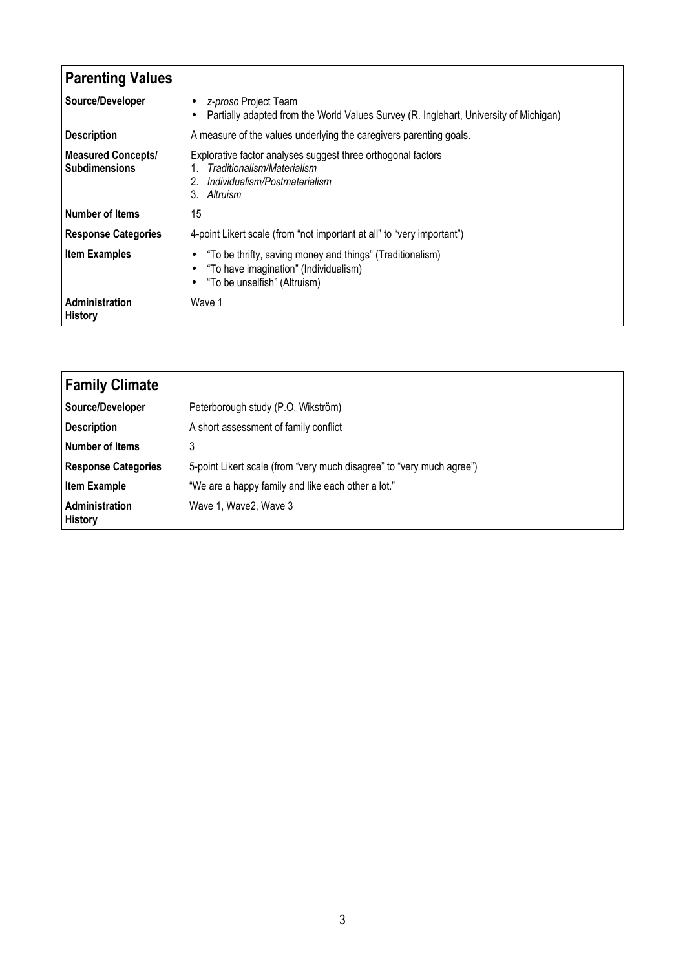| <b>Parenting Values</b>                           |                                                                                                                                                 |
|---------------------------------------------------|-------------------------------------------------------------------------------------------------------------------------------------------------|
| Source/Developer                                  | z-proso Project Team<br>$\bullet$<br>Partially adapted from the World Values Survey (R. Inglehart, University of Michigan)<br>$\bullet$         |
| <b>Description</b>                                | A measure of the values underlying the caregivers parenting goals.                                                                              |
| <b>Measured Concepts/</b><br><b>Subdimensions</b> | Explorative factor analyses suggest three orthogonal factors<br>Traditionalism/Materialism<br>Individualism/Postmaterialism<br>3. Altruism      |
| <b>Number of Items</b>                            | 15                                                                                                                                              |
| <b>Response Categories</b>                        | 4-point Likert scale (from "not important at all" to "very important")                                                                          |
| <b>Item Examples</b>                              | "To be thrifty, saving money and things" (Traditionalism)<br>"To have imagination" (Individualism)<br>"To be unselfish" (Altruism)<br>$\bullet$ |
| <b>Administration</b><br><b>History</b>           | Wave 1                                                                                                                                          |

| <b>Family Climate</b>            |                                                                       |
|----------------------------------|-----------------------------------------------------------------------|
| Source/Developer                 | Peterborough study (P.O. Wikström)                                    |
| Description                      | A short assessment of family conflict                                 |
| Number of Items                  | 3                                                                     |
| <b>Response Categories</b>       | 5-point Likert scale (from "very much disagree" to "very much agree") |
| <b>Item Example</b>              | "We are a happy family and like each other a lot."                    |
| Administration<br><b>History</b> | Wave 1, Wave 2, Wave 3                                                |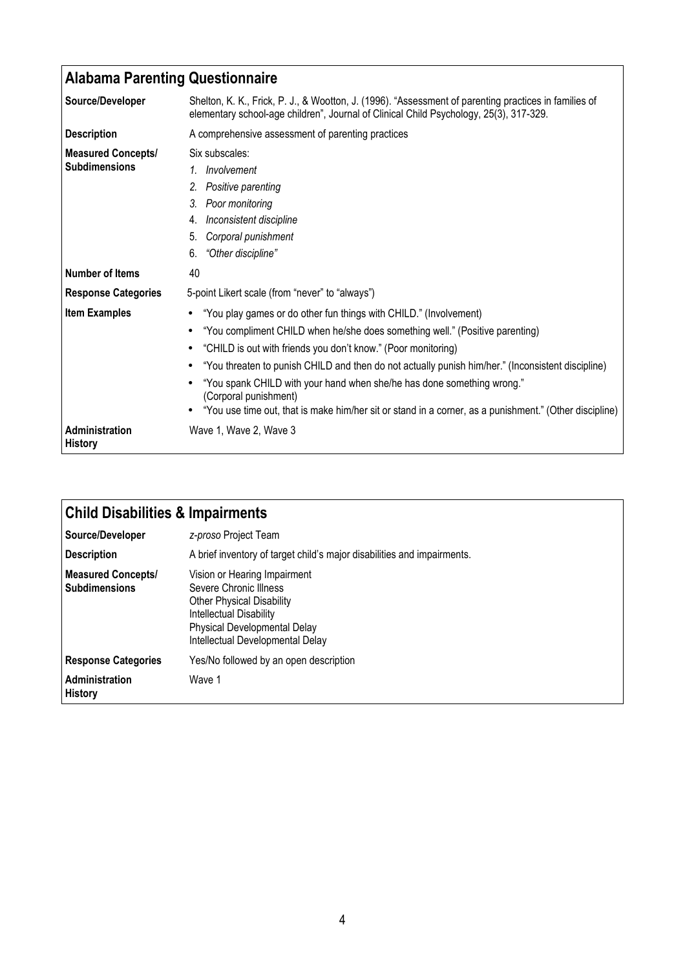| <b>Alabama Parenting Questionnaire</b>            |                                                                                                                                                                                                                                                                                                                                                                                                                                                                                                                                      |
|---------------------------------------------------|--------------------------------------------------------------------------------------------------------------------------------------------------------------------------------------------------------------------------------------------------------------------------------------------------------------------------------------------------------------------------------------------------------------------------------------------------------------------------------------------------------------------------------------|
| Source/Developer                                  | Shelton, K. K., Frick, P. J., & Wootton, J. (1996). "Assessment of parenting practices in families of<br>elementary school-age children", Journal of Clinical Child Psychology, 25(3), 317-329.                                                                                                                                                                                                                                                                                                                                      |
| <b>Description</b>                                | A comprehensive assessment of parenting practices                                                                                                                                                                                                                                                                                                                                                                                                                                                                                    |
| <b>Measured Concepts/</b><br><b>Subdimensions</b> | Six subscales:<br>1. Involvement<br>Positive parenting<br>2.<br>3. Poor monitoring<br>Inconsistent discipline<br>4.<br>Corporal punishment<br>5.<br>"Other discipline"<br>6.                                                                                                                                                                                                                                                                                                                                                         |
| Number of Items                                   | 40                                                                                                                                                                                                                                                                                                                                                                                                                                                                                                                                   |
| <b>Response Categories</b>                        | 5-point Likert scale (from "never" to "always")                                                                                                                                                                                                                                                                                                                                                                                                                                                                                      |
| <b>Item Examples</b>                              | "You play games or do other fun things with CHILD." (Involvement)<br>"You compliment CHILD when he/she does something well." (Positive parenting)<br>"CHILD is out with friends you don't know." (Poor monitoring)<br>"You threaten to punish CHILD and then do not actually punish him/her." (Inconsistent discipline)<br>"You spank CHILD with your hand when she/he has done something wrong."<br>(Corporal punishment)<br>"You use time out, that is make him/her sit or stand in a corner, as a punishment." (Other discipline) |
| Administration<br><b>History</b>                  | Wave 1, Wave 2, Wave 3                                                                                                                                                                                                                                                                                                                                                                                                                                                                                                               |

| <b>Child Disabilities &amp; Impairments</b> |                                                                                                                                                                                           |
|---------------------------------------------|-------------------------------------------------------------------------------------------------------------------------------------------------------------------------------------------|
| Source/Developer                            | z-proso Project Team                                                                                                                                                                      |
| <b>Description</b>                          | A brief inventory of target child's major disabilities and impairments.                                                                                                                   |
| Measured Concepts/<br><b>Subdimensions</b>  | Vision or Hearing Impairment<br>Severe Chronic Illness<br><b>Other Physical Disability</b><br>Intellectual Disability<br>Physical Developmental Delay<br>Intellectual Developmental Delay |
| <b>Response Categories</b>                  | Yes/No followed by an open description                                                                                                                                                    |
| <b>Administration</b><br><b>History</b>     | Wave 1                                                                                                                                                                                    |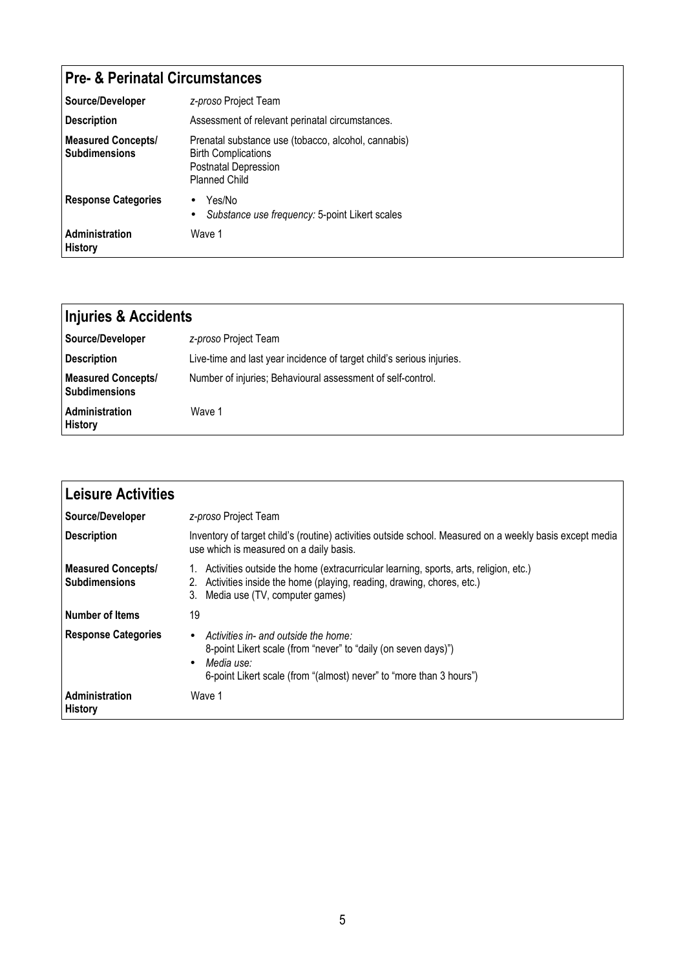## Pre- & Perinatal Circumstances

| Source/Developer                                  | z-proso Project Team                                                                                                              |  |
|---------------------------------------------------|-----------------------------------------------------------------------------------------------------------------------------------|--|
| <b>Description</b>                                | Assessment of relevant perinatal circumstances.                                                                                   |  |
| <b>Measured Concepts/</b><br><b>Subdimensions</b> | Prenatal substance use (tobacco, alcohol, cannabis)<br><b>Birth Complications</b><br>Postnatal Depression<br><b>Planned Child</b> |  |
| <b>Response Categories</b>                        | Yes/No<br>$\bullet$<br>Substance use frequency: 5-point Likert scales<br>$\bullet$                                                |  |
| Administration<br><b>History</b>                  | Wave 1                                                                                                                            |  |

| <b>Injuries &amp; Accidents</b>                   |                                                                       |
|---------------------------------------------------|-----------------------------------------------------------------------|
| Source/Developer                                  | z-proso Project Team                                                  |
| <b>Description</b>                                | Live-time and last year incidence of target child's serious injuries. |
| <b>Measured Concepts/</b><br><b>Subdimensions</b> | Number of injuries; Behavioural assessment of self-control.           |
| <b>Administration</b><br><b>History</b>           | Wave 1                                                                |

| Leisure Activities                                |                                                                                                                                                                                                                       |
|---------------------------------------------------|-----------------------------------------------------------------------------------------------------------------------------------------------------------------------------------------------------------------------|
| Source/Developer                                  | z-proso Project Team                                                                                                                                                                                                  |
| <b>Description</b>                                | Inventory of target child's (routine) activities outside school. Measured on a weekly basis except media<br>use which is measured on a daily basis.                                                                   |
| <b>Measured Concepts/</b><br><b>Subdimensions</b> | 1. Activities outside the home (extracurricular learning, sports, arts, religion, etc.)<br>2. Activities inside the home (playing, reading, drawing, chores, etc.)<br>3. Media use (TV, computer games)               |
| l Number of Items                                 | 19                                                                                                                                                                                                                    |
| <b>Response Categories</b>                        | Activities in- and outside the home:<br>$\bullet$<br>8-point Likert scale (from "never" to "daily (on seven days)")<br>Media use:<br>$\bullet$<br>6-point Likert scale (from "(almost) never" to "more than 3 hours") |
| <b>Administration</b><br><b>History</b>           | Wave 1                                                                                                                                                                                                                |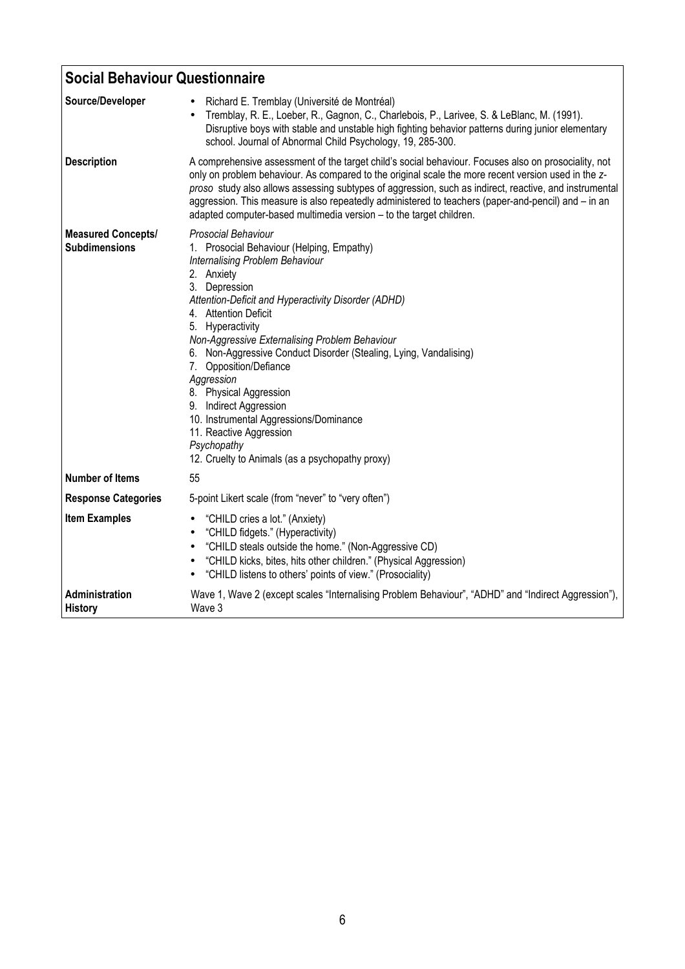| <b>Social Behaviour Questionnaire</b>             |                                                                                                                                                                                                                                                                                                                                                                                                                                                                                                                                                                                                        |  |  |
|---------------------------------------------------|--------------------------------------------------------------------------------------------------------------------------------------------------------------------------------------------------------------------------------------------------------------------------------------------------------------------------------------------------------------------------------------------------------------------------------------------------------------------------------------------------------------------------------------------------------------------------------------------------------|--|--|
| Source/Developer                                  | Richard E. Tremblay (Université de Montréal)<br>Tremblay, R. E., Loeber, R., Gagnon, C., Charlebois, P., Larivee, S. & LeBlanc, M. (1991).<br>Disruptive boys with stable and unstable high fighting behavior patterns during junior elementary<br>school. Journal of Abnormal Child Psychology, 19, 285-300.                                                                                                                                                                                                                                                                                          |  |  |
| <b>Description</b>                                | A comprehensive assessment of the target child's social behaviour. Focuses also on prosociality, not<br>only on problem behaviour. As compared to the original scale the more recent version used in the z-<br>proso study also allows assessing subtypes of aggression, such as indirect, reactive, and instrumental<br>aggression. This measure is also repeatedly administered to teachers (paper-and-pencil) and - in an<br>adapted computer-based multimedia version - to the target children.                                                                                                    |  |  |
| <b>Measured Concepts/</b><br><b>Subdimensions</b> | <b>Prosocial Behaviour</b><br>1. Prosocial Behaviour (Helping, Empathy)<br>Internalising Problem Behaviour<br>2. Anxiety<br>3. Depression<br>Attention-Deficit and Hyperactivity Disorder (ADHD)<br>4. Attention Deficit<br>5. Hyperactivity<br>Non-Aggressive Externalising Problem Behaviour<br>6. Non-Aggressive Conduct Disorder (Stealing, Lying, Vandalising)<br>7. Opposition/Defiance<br>Aggression<br>8. Physical Aggression<br>9. Indirect Aggression<br>10. Instrumental Aggressions/Dominance<br>11. Reactive Aggression<br>Psychopathy<br>12. Cruelty to Animals (as a psychopathy proxy) |  |  |
| <b>Number of Items</b>                            | 55                                                                                                                                                                                                                                                                                                                                                                                                                                                                                                                                                                                                     |  |  |
| <b>Response Categories</b>                        | 5-point Likert scale (from "never" to "very often")                                                                                                                                                                                                                                                                                                                                                                                                                                                                                                                                                    |  |  |
| <b>Item Examples</b>                              | "CHILD cries a lot." (Anxiety)<br>٠<br>"CHILD fidgets." (Hyperactivity)<br>٠<br>"CHILD steals outside the home." (Non-Aggressive CD)<br>"CHILD kicks, bites, hits other children." (Physical Aggression)<br>٠<br>"CHILD listens to others' points of view." (Prosociality)                                                                                                                                                                                                                                                                                                                             |  |  |
| Administration<br><b>History</b>                  | Wave 1, Wave 2 (except scales "Internalising Problem Behaviour", "ADHD" and "Indirect Aggression"),<br>Wave 3                                                                                                                                                                                                                                                                                                                                                                                                                                                                                          |  |  |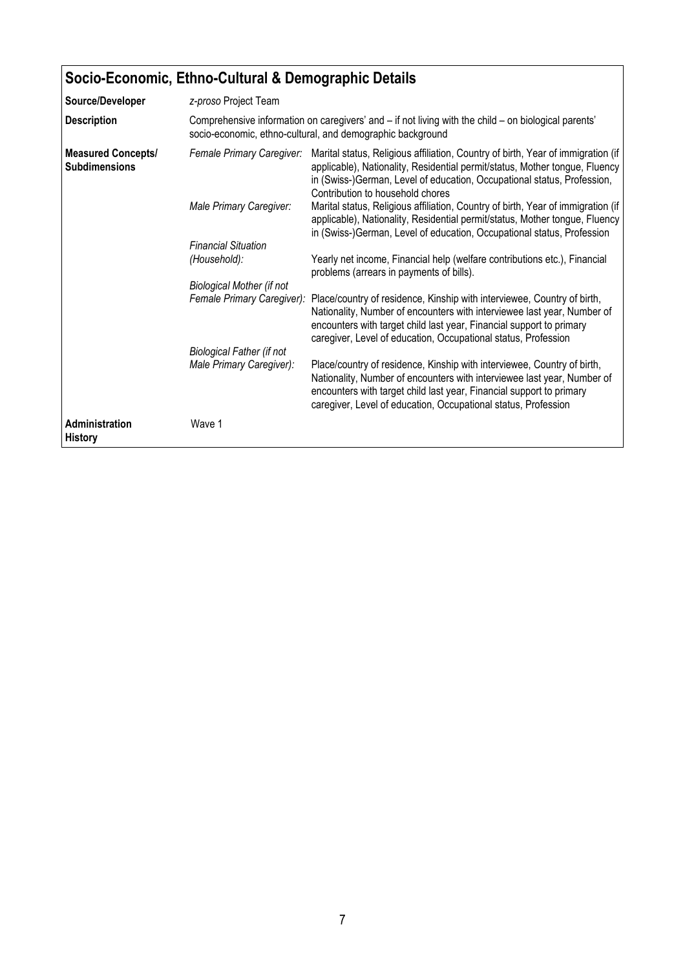| Socio-Economic, Ethno-Cultural & Demographic Details |                                                                                                                                                                    |                                                                                                                                                                                                                                                                                              |  |  |
|------------------------------------------------------|--------------------------------------------------------------------------------------------------------------------------------------------------------------------|----------------------------------------------------------------------------------------------------------------------------------------------------------------------------------------------------------------------------------------------------------------------------------------------|--|--|
| Source/Developer                                     | z-proso Project Team                                                                                                                                               |                                                                                                                                                                                                                                                                                              |  |  |
| <b>Description</b>                                   | Comprehensive information on caregivers' and - if not living with the child - on biological parents'<br>socio-economic, ethno-cultural, and demographic background |                                                                                                                                                                                                                                                                                              |  |  |
| <b>Measured Concepts/</b><br><b>Subdimensions</b>    | Female Primary Caregiver:                                                                                                                                          | Marital status, Religious affiliation, Country of birth, Year of immigration (if<br>applicable), Nationality, Residential permit/status, Mother tongue, Fluency<br>in (Swiss-)German, Level of education, Occupational status, Profession,<br>Contribution to household chores               |  |  |
|                                                      | Male Primary Caregiver:                                                                                                                                            | Marital status, Religious affiliation, Country of birth, Year of immigration (if<br>applicable), Nationality, Residential permit/status, Mother tongue, Fluency<br>in (Swiss-)German, Level of education, Occupational status, Profession                                                    |  |  |
|                                                      | <b>Financial Situation</b>                                                                                                                                         |                                                                                                                                                                                                                                                                                              |  |  |
|                                                      | (Household):                                                                                                                                                       | Yearly net income, Financial help (welfare contributions etc.), Financial<br>problems (arrears in payments of bills).                                                                                                                                                                        |  |  |
|                                                      | <b>Biological Mother (if not</b>                                                                                                                                   |                                                                                                                                                                                                                                                                                              |  |  |
|                                                      | Female Primary Caregiver):                                                                                                                                         | Place/country of residence, Kinship with interviewee, Country of birth,<br>Nationality, Number of encounters with interviewee last year, Number of<br>encounters with target child last year, Financial support to primary<br>caregiver, Level of education, Occupational status, Profession |  |  |
|                                                      | <b>Biological Father (if not</b>                                                                                                                                   |                                                                                                                                                                                                                                                                                              |  |  |
|                                                      | Male Primary Caregiver):                                                                                                                                           | Place/country of residence, Kinship with interviewee, Country of birth,<br>Nationality, Number of encounters with interviewee last year, Number of<br>encounters with target child last year, Financial support to primary<br>caregiver, Level of education, Occupational status, Profession |  |  |
| Administration<br><b>History</b>                     | Wave 1                                                                                                                                                             |                                                                                                                                                                                                                                                                                              |  |  |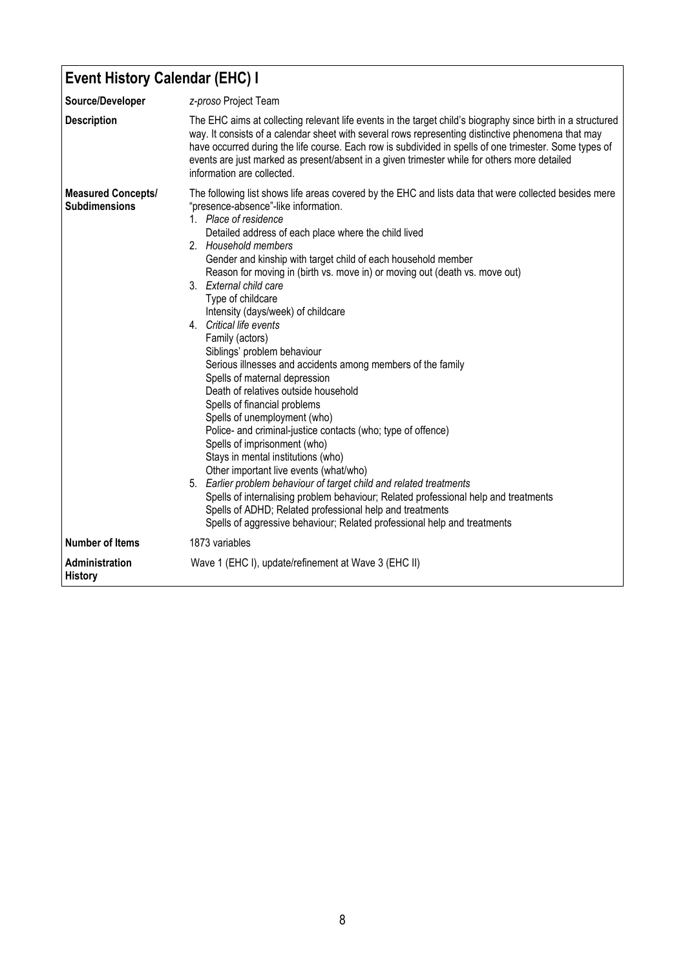## Event History Calendar (EHC) I

| Source/Developer                                  | z-proso Project Team                                                                                                                                                                                                                                                                                                                                                                                                                                                                                                                                                                                                                                                                                                                                                                                                                                                                                                                                                                                                                                                                                                                                                                                                                                                    |  |  |
|---------------------------------------------------|-------------------------------------------------------------------------------------------------------------------------------------------------------------------------------------------------------------------------------------------------------------------------------------------------------------------------------------------------------------------------------------------------------------------------------------------------------------------------------------------------------------------------------------------------------------------------------------------------------------------------------------------------------------------------------------------------------------------------------------------------------------------------------------------------------------------------------------------------------------------------------------------------------------------------------------------------------------------------------------------------------------------------------------------------------------------------------------------------------------------------------------------------------------------------------------------------------------------------------------------------------------------------|--|--|
| <b>Description</b>                                | The EHC aims at collecting relevant life events in the target child's biography since birth in a structured<br>way. It consists of a calendar sheet with several rows representing distinctive phenomena that may<br>have occurred during the life course. Each row is subdivided in spells of one trimester. Some types of<br>events are just marked as present/absent in a given trimester while for others more detailed<br>information are collected.                                                                                                                                                                                                                                                                                                                                                                                                                                                                                                                                                                                                                                                                                                                                                                                                               |  |  |
| <b>Measured Concepts/</b><br><b>Subdimensions</b> | The following list shows life areas covered by the EHC and lists data that were collected besides mere<br>"presence-absence"-like information.<br>1. Place of residence<br>Detailed address of each place where the child lived<br>2. Household members<br>Gender and kinship with target child of each household member<br>Reason for moving in (birth vs. move in) or moving out (death vs. move out)<br>3. External child care<br>Type of childcare<br>Intensity (days/week) of childcare<br>4. Critical life events<br>Family (actors)<br>Siblings' problem behaviour<br>Serious illnesses and accidents among members of the family<br>Spells of maternal depression<br>Death of relatives outside household<br>Spells of financial problems<br>Spells of unemployment (who)<br>Police- and criminal-justice contacts (who; type of offence)<br>Spells of imprisonment (who)<br>Stays in mental institutions (who)<br>Other important live events (what/who)<br>5. Earlier problem behaviour of target child and related treatments<br>Spells of internalising problem behaviour; Related professional help and treatments<br>Spells of ADHD; Related professional help and treatments<br>Spells of aggressive behaviour; Related professional help and treatments |  |  |
| <b>Number of Items</b>                            | 1873 variables                                                                                                                                                                                                                                                                                                                                                                                                                                                                                                                                                                                                                                                                                                                                                                                                                                                                                                                                                                                                                                                                                                                                                                                                                                                          |  |  |
| Administration<br><b>History</b>                  | Wave 1 (EHC I), update/refinement at Wave 3 (EHC II)                                                                                                                                                                                                                                                                                                                                                                                                                                                                                                                                                                                                                                                                                                                                                                                                                                                                                                                                                                                                                                                                                                                                                                                                                    |  |  |